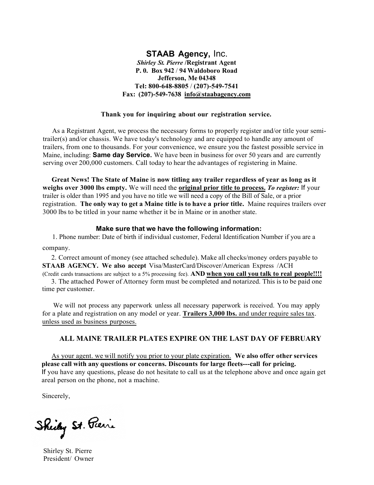#### **STAAB Agency,** Inc. *Shirley St. Pierre* **/Registrant Agent P. 0. Box 942** / **94 Waldoboro Road Jefferson, Me 04348 Tel: 800-648-8805** / **(207)-549-7541 Fax: (207)-549-7638 info@staabagency.com**

#### **Thank you for inquiring about our registration service.**

As a Registrant Agent, we process the necessary forms to properly register and/or title your semitrailer(s) and/or chassis. We have today's technology and are equipped to handle any amount of trailers, from one to thousands. For your convenience, we ensure you the fastest possible service in Maine, including: **Same day Service.** We have been in business for over 50 years and are currently serving over 200,000 customers. Call today to hear the advantages of registering in Maine.

**Great News! The State of Maine** is **now titling any trailer regardless of year as long as it weighs over 3000 lbs empty.** We will need the **original prior title to process.** *To register:* If your trailer is older than 1995 and you have no title we will need a copy of the Bill of Sale, or a prior registration. **The only way to get a Maine title is to have a prior title.** Maine requires trailers over 3000 lbs to be titled in your name whether it be in Maine or in another state.

#### **Make sure that we have the following information:**

1. Phone number: Date of birth if individual customer, Federal Identification Number if you are a company.

2. Correct amount of money (see attached schedule). Make all checks/money orders payable to **STAAB AGENCY. We also accept** Visa/MasterCard/Discover/American Express /ACH (Credit cards transactions are subject to a 5% processing fee). **AND when you call you talk to real people!!!!**

3. The attached Power of Attorney form must be completed and notarized. This is to be paid one time per customer.

We will not process any paperwork unless all necessary paperwork is received. You may apply for a plate and registration on any model or year. **Trailers 3,000 lbs.** and under require sales tax. unless used as business purposes.

#### **ALL MAINE TRAILER PLATES EXPIRE ON THE LAST DAY OF FEBRUARY**

As your agent. we will notify you prior to your plate expiration. **We also offer other services please call with any questions or concerns. Discounts for large fleets---call for pricing.** If you have any questions, please do not hesitate to call us at the telephone above and once again get areal person on the phone, not a machine.

Sincerely,

Sheily St. Pierre

Shirley St. Pierre President/ Owner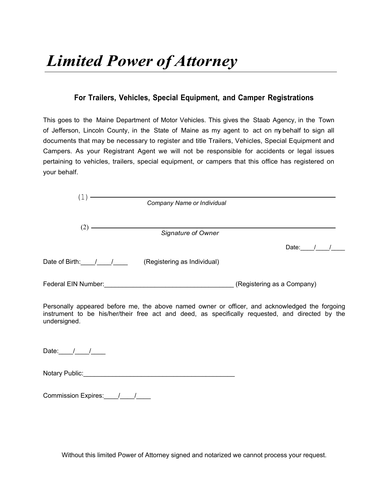### **For Trailers, Vehicles, Special Equipment, and Camper Registrations**

This goes to the Maine Department of Motor Vehicles. This gives the Staab Agency, in the Town of Jefferson, Lincoln County, in the State of Maine as my agent to act on my behalf to sign all documents that may be necessary to register and title Trailers, Vehicles, Special Equipment and Campers. As your Registrant Agent we will not be responsible for accidents or legal issues pertaining to vehicles, trailers, special equipment, or campers that this office has registered on your behalf.

|                     | Company Name or Individual  |                            |
|---------------------|-----------------------------|----------------------------|
|                     |                             |                            |
|                     |                             |                            |
| (2)                 | Signature of Owner          |                            |
|                     |                             | Date:                      |
| Date of Birth: /    | (Registering as Individual) |                            |
| Federal EIN Number: |                             | (Registering as a Company) |
|                     |                             |                            |

Personally appeared before me, the above named owner or officer, and acknowledged the forgoing instrument to be his/her/their free act and deed, as specifically requested, and directed by the undersigned.

Date: $\frac{1}{\sqrt{2\pi}}$ 

| <b>Notary Public:</b> |  |
|-----------------------|--|
|-----------------------|--|

Commission Expires:\_\_\_\_/\_\_\_\_/\_\_\_\_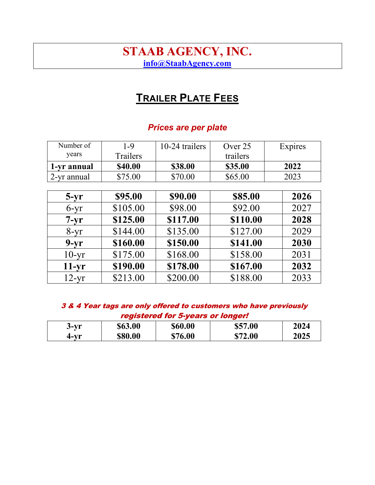# STAAB AGENCY, INC. info@StaabAgency.com

# **TRAILER PLATE FEES**

## Prices are per plate

| Number of   | $1 - 9$  | 10-24 trailers | Over 25  | Expires |
|-------------|----------|----------------|----------|---------|
| years       | Trailers |                | trailers |         |
| 1-yr annual | \$40.00  | \$38.00        | \$35.00  | 2022    |
| 2-yr annual | \$75.00  | \$70.00        | \$65.00  | 2023    |
|             |          |                |          |         |
| $5-yr$      | \$95.00  | \$90.00        | \$85.00  | 2026    |
| $6-yr$      | \$105.00 | \$98.00        | \$92.00  | 2027    |
| $7-yr$      | \$125.00 | \$117.00       | \$110.00 | 2028    |
| $8-yr$      | \$144.00 | \$135.00       | \$127.00 | 2029    |
| $9-yr$      | \$160.00 | \$150.00       | \$141.00 | 2030    |
| $10-yr$     | \$175.00 | \$168.00       | \$158.00 | 2031    |
| $11-yr$     | \$190.00 | \$178.00       | \$167.00 | 2032    |
| $12-yr$     | \$213.00 | \$200.00       | \$188.00 | 2033    |

| 3 & 4 Year tags are only offered to customers who have previously |
|-------------------------------------------------------------------|
| registered for 5-years or longer!                                 |

| $3-yr$ | \$63.00 | \$60.00 | \$57.00 | 2024 |
|--------|---------|---------|---------|------|
| 4-vr   | \$80.00 | \$76.00 | \$72.00 | 2025 |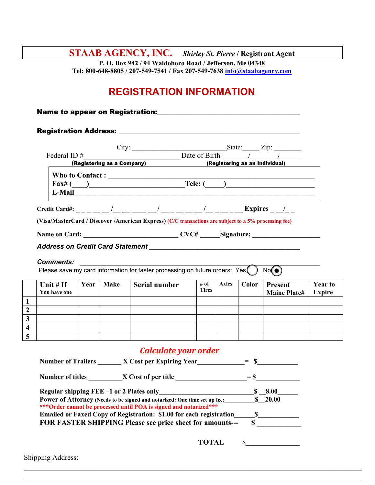**STAAB AGENCY, INC.** *Shirley St. Pierre* **/ Registrant Agent**

**P. O. Box 942 / 94 Waldoboro Road / Jefferson, Me 04348 Tel: 800-648-8805 / 207-549-7541 / Fax 207-549-7638 [info@staabagency.com](mailto:info@staabagency.com)**

# **REGISTRATION INFORMATION**

Name to appear on Registration:\_\_\_\_\_\_\_\_\_\_\_\_\_\_\_\_\_\_\_\_\_\_\_\_\_\_\_\_\_\_\_\_\_\_\_\_\_\_\_\_\_\_

|              |      |             |                                                                                                                                                                                                                                |                      |              |       | Date of Birth: $\frac{1}{2}$ |                |
|--------------|------|-------------|--------------------------------------------------------------------------------------------------------------------------------------------------------------------------------------------------------------------------------|----------------------|--------------|-------|------------------------------|----------------|
|              |      |             | (Registering as a Company) (Registering as an Individual)                                                                                                                                                                      |                      |              |       |                              |                |
|              |      |             | Who to Contact : $\qquad \qquad$                                                                                                                                                                                               |                      |              |       |                              |                |
|              |      |             | $\text{Fax#}(\hspace{-.05in} )$ $\text{Tele:}(\hspace{-.05in} )$                                                                                                                                                               |                      |              |       |                              |                |
|              |      |             | E-Mail Property of the contract of the contract of the contract of the contract of the contract of the contract of the contract of the contract of the contract of the contract of the contract of the contract of the contrac |                      |              |       |                              |                |
|              |      |             | Credit Card#: ___ __ __ /__ __ ___ __ / __ _ __ __ /__ _ __ Expires _ _/_ _                                                                                                                                                    |                      |              |       |                              |                |
|              |      |             | (Visa/MasterCard / Discover /American Express) (C/C transactions are subject to a 5% processing fee)                                                                                                                           |                      |              |       |                              |                |
|              |      |             |                                                                                                                                                                                                                                |                      |              |       |                              |                |
|              |      |             |                                                                                                                                                                                                                                |                      |              |       |                              |                |
|              |      |             |                                                                                                                                                                                                                                |                      |              |       |                              |                |
|              |      |             |                                                                                                                                                                                                                                |                      |              |       |                              |                |
|              |      |             |                                                                                                                                                                                                                                |                      |              |       |                              |                |
|              |      |             | Please save my card information for faster processing on future orders: $Yes( )$                                                                                                                                               |                      |              |       | No(①)                        |                |
|              |      |             |                                                                                                                                                                                                                                |                      |              |       |                              |                |
| Unit $#$ If  | Year | <b>Make</b> | Serial number                                                                                                                                                                                                                  | # of<br><b>Tires</b> | <b>Axles</b> | Color | Present                      | <b>Year to</b> |
| You have one |      |             |                                                                                                                                                                                                                                |                      |              |       | <b>Maine Plate#</b>          | <b>Expire</b>  |
|              |      |             |                                                                                                                                                                                                                                |                      |              |       |                              |                |
|              |      |             |                                                                                                                                                                                                                                |                      |              |       |                              |                |
|              |      |             |                                                                                                                                                                                                                                |                      |              |       |                              |                |

### *Calculate your order*

| <b>Number of Trailers</b>                | X Cost per Expiring Year                                                   |        |              |
|------------------------------------------|----------------------------------------------------------------------------|--------|--------------|
| <b>Number of titles</b>                  | X Cost of per title                                                        | $=$ \$ |              |
| Regular shipping FEE -1 or 2 Plates only |                                                                            |        | 8.00         |
|                                          | Power of Attorney (Needs to be signed and notarized: One time set up fee:  |        | <b>20.00</b> |
|                                          | *** Order cannot be processed until POA is signed and notarized***         |        |              |
|                                          | <b>Emailed or Faxed Copy of Registration: \$1.00 for each registration</b> |        |              |
|                                          | FOR FASTER SHIPPING Please see price sheet for amounts---                  |        |              |
|                                          |                                                                            |        |              |
|                                          | <b>TOTAL</b>                                                               |        |              |

\_\_\_\_\_\_\_\_\_\_\_\_\_\_\_\_\_\_\_\_\_\_\_\_\_\_\_\_\_\_\_\_\_\_\_\_\_\_\_\_\_\_\_\_\_\_\_\_\_\_\_\_\_\_\_\_\_\_\_\_\_\_\_\_\_\_\_\_\_\_\_\_\_\_\_\_\_\_\_\_\_\_\_\_\_\_\_\_\_\_\_\_ \_\_\_\_\_\_\_\_\_\_\_\_\_\_\_\_\_\_\_\_\_\_\_\_\_\_\_\_\_\_\_\_\_\_\_\_\_\_\_\_\_\_\_\_\_\_\_\_\_\_\_\_\_\_\_\_\_\_\_\_\_\_\_\_\_\_\_\_\_\_\_\_\_\_\_\_\_\_\_\_\_\_\_\_\_\_\_\_\_\_\_\_

Shipping Address: